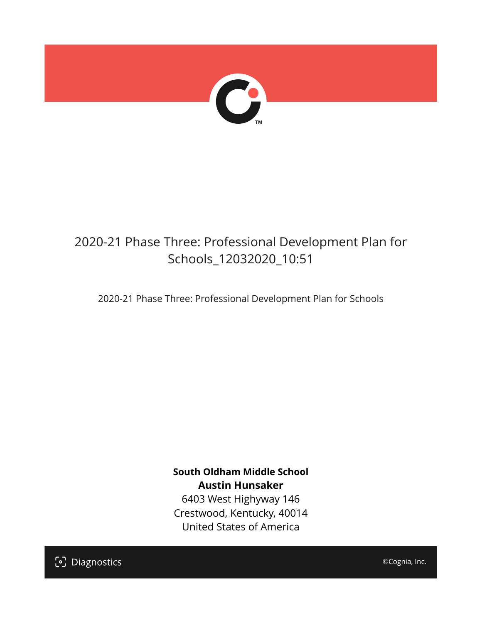

## 2020-21 Phase Three: Professional Development Plan for Schools\_12032020\_10:51

2020-21 Phase Three: Professional Development Plan for Schools

**South Oldham Middle School Austin Hunsaker** 6403 West Highyway 146 Crestwood, Kentucky, 40014 United States of America

[၁] Diagnostics

©Cognia, Inc.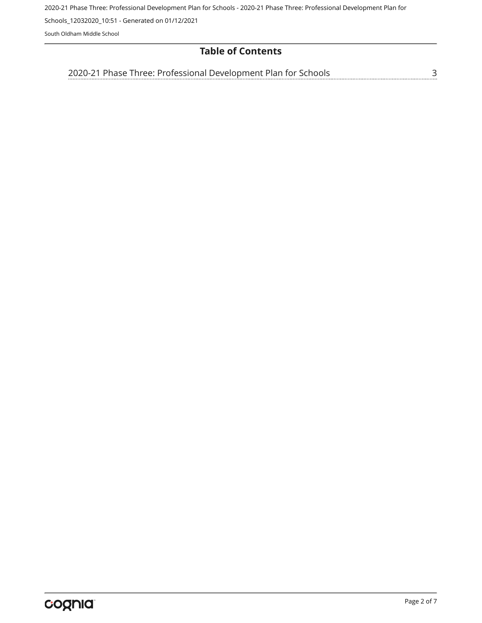2020-21 Phase Three: Professional Development Plan for Schools - 2020-21 Phase Three: Professional Development Plan for

Schools\_12032020\_10:51 - Generated on 01/12/2021

South Oldham Middle School

## **Table of Contents**

[3](#page-2-0) [2020-21 Phase Three: Professional Development Plan for Schools](#page-2-0)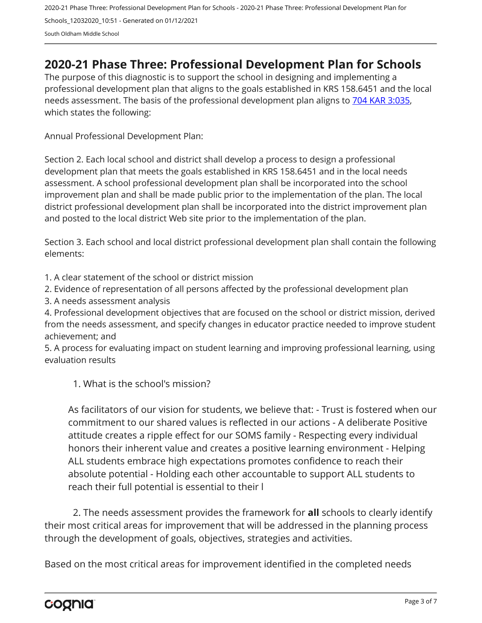## <span id="page-2-0"></span>**2020-21 Phase Three: Professional Development Plan for Schools**

The purpose of this diagnostic is to support the school in designing and implementing a professional development plan that aligns to the goals established in KRS 158.6451 and the local needs assessment. The basis of the professional development plan aligns to [704 KAR 3:035,](https://apps.legislature.ky.gov/Law/kar/704/003/035.pdf) which states the following:

Annual Professional Development Plan:

Section 2. Each local school and district shall develop a process to design a professional development plan that meets the goals established in KRS 158.6451 and in the local needs assessment. A school professional development plan shall be incorporated into the school improvement plan and shall be made public prior to the implementation of the plan. The local district professional development plan shall be incorporated into the district improvement plan and posted to the local district Web site prior to the implementation of the plan.

Section 3. Each school and local district professional development plan shall contain the following elements:

1. A clear statement of the school or district mission

2. Evidence of representation of all persons affected by the professional development plan

3. A needs assessment analysis

4. Professional development objectives that are focused on the school or district mission, derived from the needs assessment, and specify changes in educator practice needed to improve student achievement; and

5. A process for evaluating impact on student learning and improving professional learning, using evaluation results

1. What is the school's mission?

As facilitators of our vision for students, we believe that: - Trust is fostered when our commitment to our shared values is reflected in our actions - A deliberate Positive attitude creates a ripple effect for our SOMS family - Respecting every individual honors their inherent value and creates a positive learning environment - Helping ALL students embrace high expectations promotes confidence to reach their absolute potential - Holding each other accountable to support ALL students to reach their full potential is essential to their l

2. The needs assessment provides the framework for **all** schools to clearly identify their most critical areas for improvement that will be addressed in the planning process through the development of goals, objectives, strategies and activities.

Based on the most critical areas for improvement identified in the completed needs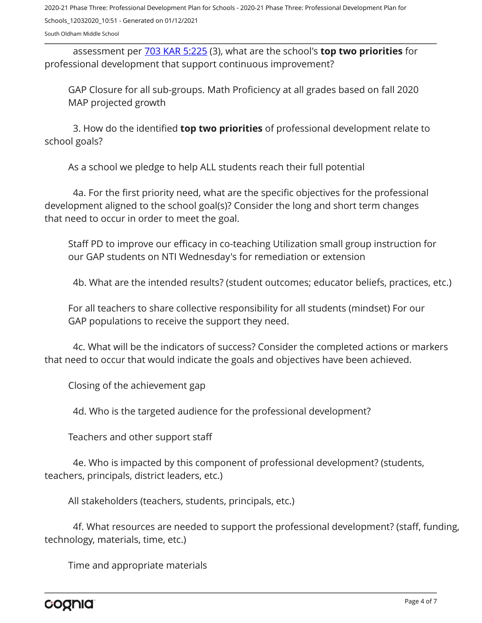assessment per [703 KAR 5:225](https://apps.legislature.ky.gov/law/kar/703/005/225.pdf) (3), what are the school's **top two priorities** for professional development that support continuous improvement?

GAP Closure for all sub-groups. Math Proficiency at all grades based on fall 2020 MAP projected growth

3. How do the identified **top two priorities** of professional development relate to school goals?

As a school we pledge to help ALL students reach their full potential

4a. For the first priority need, what are the specific objectives for the professional development aligned to the school goal(s)? Consider the long and short term changes that need to occur in order to meet the goal.

Staff PD to improve our efficacy in co-teaching Utilization small group instruction for our GAP students on NTI Wednesday's for remediation or extension

4b. What are the intended results? (student outcomes; educator beliefs, practices, etc.)

For all teachers to share collective responsibility for all students (mindset) For our GAP populations to receive the support they need.

4c. What will be the indicators of success? Consider the completed actions or markers that need to occur that would indicate the goals and objectives have been achieved.

Closing of the achievement gap

4d. Who is the targeted audience for the professional development?

Teachers and other support staff

4e. Who is impacted by this component of professional development? (students, teachers, principals, district leaders, etc.)

All stakeholders (teachers, students, principals, etc.)

4f. What resources are needed to support the professional development? (staff, funding, technology, materials, time, etc.)

Time and appropriate materials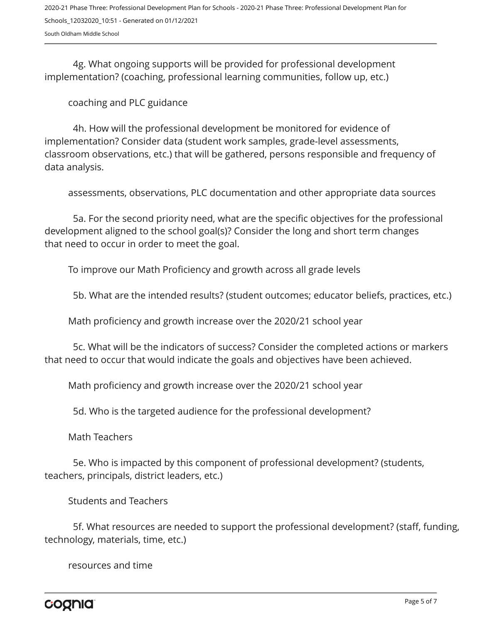4g. What ongoing supports will be provided for professional development implementation? (coaching, professional learning communities, follow up, etc.)

coaching and PLC guidance

4h. How will the professional development be monitored for evidence of implementation? Consider data (student work samples, grade-level assessments, classroom observations, etc.) that will be gathered, persons responsible and frequency of data analysis.

assessments, observations, PLC documentation and other appropriate data sources

5a. For the second priority need, what are the specific objectives for the professional development aligned to the school goal(s)? Consider the long and short term changes that need to occur in order to meet the goal.

To improve our Math Proficiency and growth across all grade levels

5b. What are the intended results? (student outcomes; educator beliefs, practices, etc.)

Math proficiency and growth increase over the 2020/21 school year

5c. What will be the indicators of success? Consider the completed actions or markers that need to occur that would indicate the goals and objectives have been achieved.

Math proficiency and growth increase over the 2020/21 school year

5d. Who is the targeted audience for the professional development?

Math Teachers

5e. Who is impacted by this component of professional development? (students, teachers, principals, district leaders, etc.)

Students and Teachers

5f. What resources are needed to support the professional development? (staff, funding, technology, materials, time, etc.)

resources and time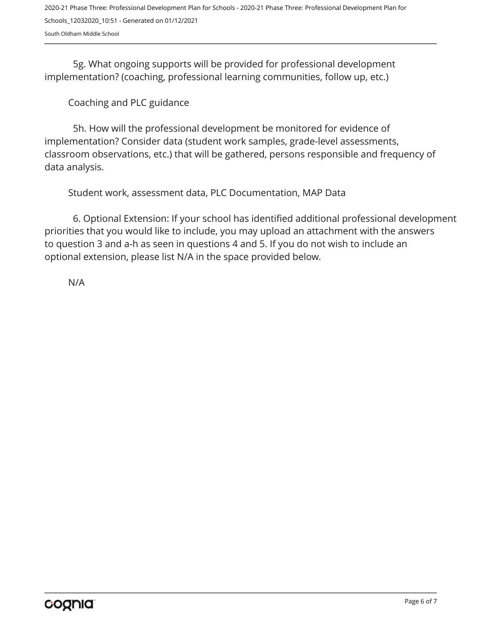5g. What ongoing supports will be provided for professional development implementation? (coaching, professional learning communities, follow up, etc.)

Coaching and PLC guidance

5h. How will the professional development be monitored for evidence of implementation? Consider data (student work samples, grade-level assessments, classroom observations, etc.) that will be gathered, persons responsible and frequency of data analysis.

Student work, assessment data, PLC Documentation, MAP Data

6. Optional Extension: If your school has identified additional professional development priorities that you would like to include, you may upload an attachment with the answers to question 3 and a-h as seen in questions 4 and 5. If you do not wish to include an optional extension, please list N/A in the space provided below.

N/A